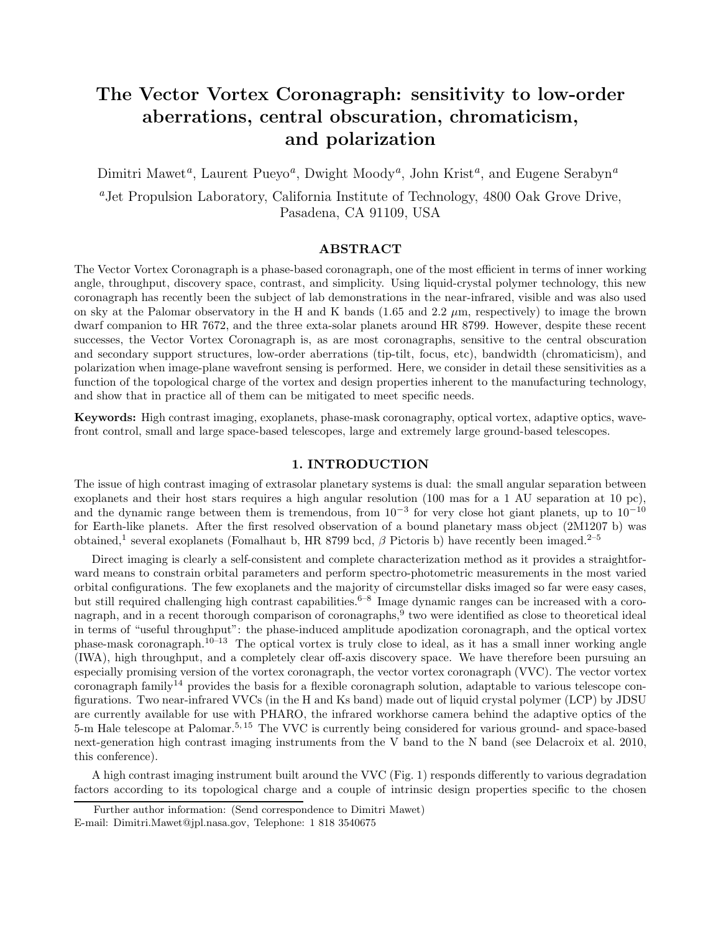# The Vector Vortex Coronagraph: sensitivity to low-order aberrations, central obscuration, chromaticism, and polarization

Dimitri Mawet<sup>*a*</sup>, Laurent Pueyo<sup>*a*</sup>, Dwight Moody<sup>*a*</sup>, John Krist<sup>*a*</sup>, and Eugene Serabyn<sup>*a*</sup>

<sup>a</sup>Jet Propulsion Laboratory, California Institute of Technology, 4800 Oak Grove Drive, Pasadena, CA 91109, USA

# ABSTRACT

The Vector Vortex Coronagraph is a phase-based coronagraph, one of the most efficient in terms of inner working angle, throughput, discovery space, contrast, and simplicity. Using liquid-crystal polymer technology, this new coronagraph has recently been the subject of lab demonstrations in the near-infrared, visible and was also used on sky at the Palomar observatory in the H and K bands (1.65 and 2.2  $\mu$ m, respectively) to image the brown dwarf companion to HR 7672, and the three exta-solar planets around HR 8799. However, despite these recent successes, the Vector Vortex Coronagraph is, as are most coronagraphs, sensitive to the central obscuration and secondary support structures, low-order aberrations (tip-tilt, focus, etc), bandwidth (chromaticism), and polarization when image-plane wavefront sensing is performed. Here, we consider in detail these sensitivities as a function of the topological charge of the vortex and design properties inherent to the manufacturing technology, and show that in practice all of them can be mitigated to meet specific needs.

Keywords: High contrast imaging, exoplanets, phase-mask coronagraphy, optical vortex, adaptive optics, wavefront control, small and large space-based telescopes, large and extremely large ground-based telescopes.

# 1. INTRODUCTION

The issue of high contrast imaging of extrasolar planetary systems is dual: the small angular separation between exoplanets and their host stars requires a high angular resolution (100 mas for a 1 AU separation at 10 pc), and the dynamic range between them is tremendous, from  $10^{-3}$  for very close hot giant planets, up to  $10^{-10}$ for Earth-like planets. After the first resolved observation of a bound planetary mass object (2M1207 b) was obtained,<sup>1</sup> several exoplanets (Fomalhaut b, HR 8799 bcd,  $\beta$  Pictoris b) have recently been imaged.<sup>2–5</sup>

Direct imaging is clearly a self-consistent and complete characterization method as it provides a straightforward means to constrain orbital parameters and perform spectro-photometric measurements in the most varied orbital configurations. The few exoplanets and the majority of circumstellar disks imaged so far were easy cases, but still required challenging high contrast capabilities.<sup>6–8</sup> Image dynamic ranges can be increased with a coronagraph, and in a recent thorough comparison of coronagraphs,<sup>9</sup> two were identified as close to theoretical ideal in terms of "useful throughput": the phase-induced amplitude apodization coronagraph, and the optical vortex phase-mask coronagraph.10–13 The optical vortex is truly close to ideal, as it has a small inner working angle (IWA), high throughput, and a completely clear off-axis discovery space. We have therefore been pursuing an especially promising version of the vortex coronagraph, the vector vortex coronagraph (VVC). The vector vortex coronagraph family<sup>14</sup> provides the basis for a flexible coronagraph solution, adaptable to various telescope configurations. Two near-infrared VVCs (in the H and Ks band) made out of liquid crystal polymer (LCP) by JDSU are currently available for use with PHARO, the infrared workhorse camera behind the adaptive optics of the 5-m Hale telescope at Palomar.5, 15 The VVC is currently being considered for various ground- and space-based next-generation high contrast imaging instruments from the V band to the N band (see Delacroix et al. 2010, this conference).

A high contrast imaging instrument built around the VVC (Fig. 1) responds differently to various degradation factors according to its topological charge and a couple of intrinsic design properties specific to the chosen

Further author information: (Send correspondence to Dimitri Mawet)

E-mail: Dimitri.Mawet@jpl.nasa.gov, Telephone: 1 818 3540675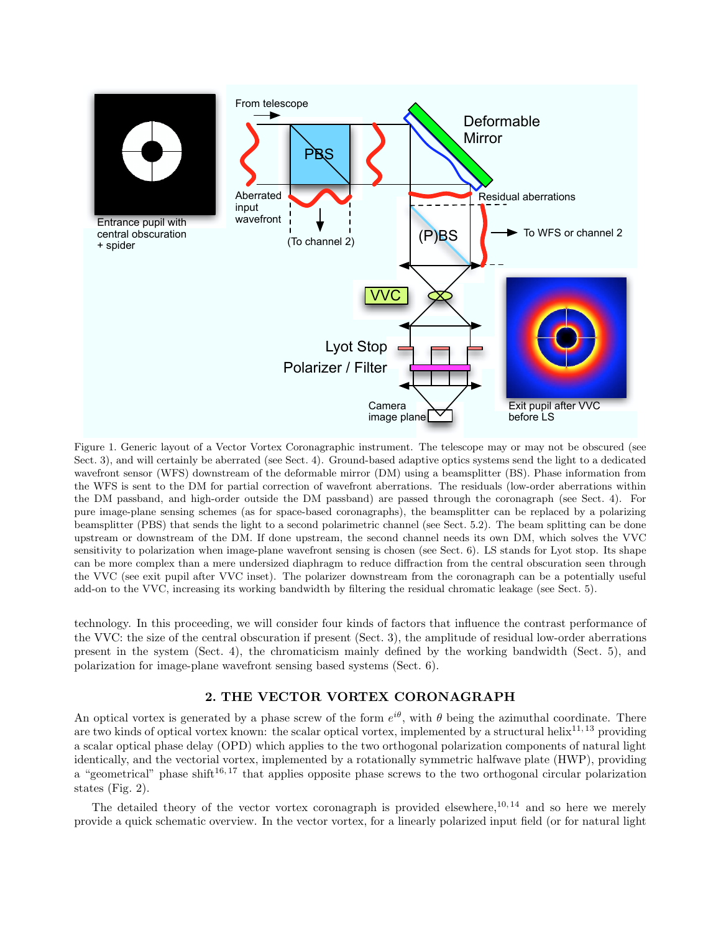

Figure 1. Generic layout of a Vector Vortex Coronagraphic instrument. The telescope may or may not be obscured (see Sect. 3), and will certainly be aberrated (see Sect. 4). Ground-based adaptive optics systems send the light to a dedicated wavefront sensor (WFS) downstream of the deformable mirror (DM) using a beamsplitter (BS). Phase information from the WFS is sent to the DM for partial correction of wavefront aberrations. The residuals (low-order aberrations within the DM passband, and high-order outside the DM passband) are passed through the coronagraph (see Sect. 4). For pure image-plane sensing schemes (as for space-based coronagraphs), the beamsplitter can be replaced by a polarizing beamsplitter (PBS) that sends the light to a second polarimetric channel (see Sect. 5.2). The beam splitting can be done upstream or downstream of the DM. If done upstream, the second channel needs its own DM, which solves the VVC sensitivity to polarization when image-plane wavefront sensing is chosen (see Sect. 6). LS stands for Lyot stop. Its shape can be more complex than a mere undersized diaphragm to reduce diffraction from the central obscuration seen through the VVC (see exit pupil after VVC inset). The polarizer downstream from the coronagraph can be a potentially useful add-on to the VVC, increasing its working bandwidth by filtering the residual chromatic leakage (see Sect. 5).

technology. In this proceeding, we will consider four kinds of factors that influence the contrast performance of the VVC: the size of the central obscuration if present (Sect. 3), the amplitude of residual low-order aberrations present in the system (Sect. 4), the chromaticism mainly defined by the working bandwidth (Sect. 5), and polarization for image-plane wavefront sensing based systems (Sect. 6).

# 2. THE VECTOR VORTEX CORONAGRAPH

An optical vortex is generated by a phase screw of the form  $e^{i\theta}$ , with  $\theta$  being the azimuthal coordinate. There are two kinds of optical vortex known: the scalar optical vortex, implemented by a structural helix<sup>11, 13</sup> providing a scalar optical phase delay (OPD) which applies to the two orthogonal polarization components of natural light identically, and the vectorial vortex, implemented by a rotationally symmetric halfwave plate (HWP), providing a "geometrical" phase shift<sup>16, 17</sup> that applies opposite phase screws to the two orthogonal circular polarization states (Fig. 2).

The detailed theory of the vector vortex coronagraph is provided elsewhere,  $10, 14$  and so here we merely provide a quick schematic overview. In the vector vortex, for a linearly polarized input field (or for natural light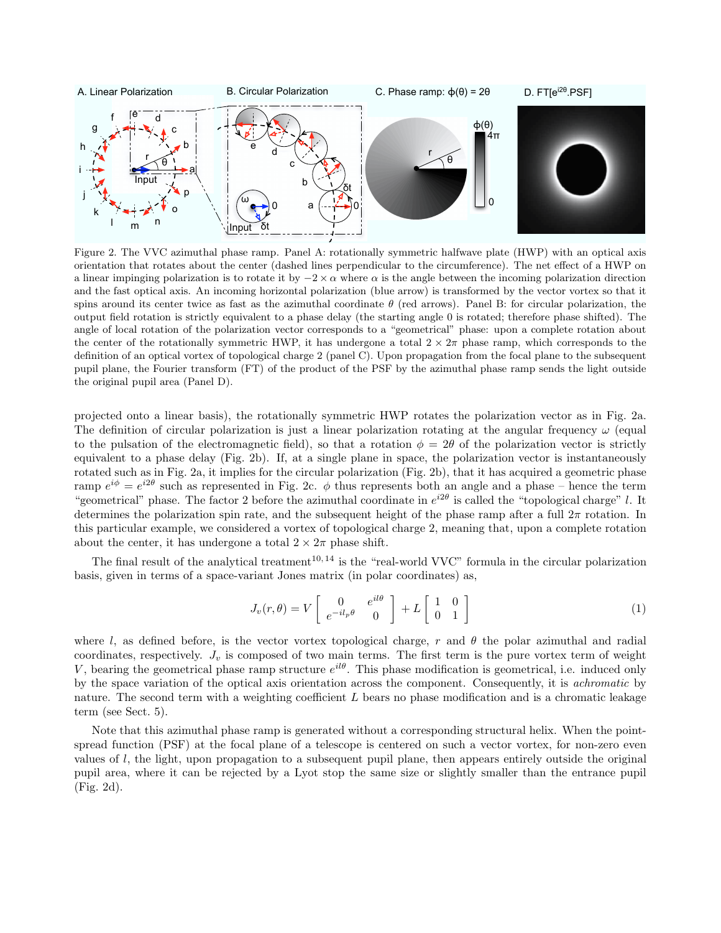

Figure 2. The VVC azimuthal phase ramp. Panel A: rotationally symmetric halfwave plate (HWP) with an optical axis orientation that rotates about the center (dashed lines perpendicular to the circumference). The net effect of a HWP on a linear impinging polarization is to rotate it by  $-2 \times \alpha$  where  $\alpha$  is the angle between the incoming polarization direction and the fast optical axis. An incoming horizontal polarization (blue arrow) is transformed by the vector vortex so that it spins around its center twice as fast as the azimuthal coordinate  $\theta$  (red arrows). Panel B: for circular polarization, the output field rotation is strictly equivalent to a phase delay (the starting angle 0 is rotated; therefore phase shifted). The angle of local rotation of the polarization vector corresponds to a "geometrical" phase: upon a complete rotation about the center of the rotationally symmetric HWP, it has undergone a total  $2 \times 2\pi$  phase ramp, which corresponds to the definition of an optical vortex of topological charge 2 (panel C). Upon propagation from the focal plane to the subsequent pupil plane, the Fourier transform (FT) of the product of the PSF by the azimuthal phase ramp sends the light outside the original pupil area (Panel D).

projected onto a linear basis), the rotationally symmetric HWP rotates the polarization vector as in Fig. 2a. The definition of circular polarization is just a linear polarization rotating at the angular frequency  $\omega$  (equal to the pulsation of the electromagnetic field), so that a rotation  $\phi = 2\theta$  of the polarization vector is strictly equivalent to a phase delay (Fig. 2b). If, at a single plane in space, the polarization vector is instantaneously rotated such as in Fig. 2a, it implies for the circular polarization (Fig. 2b), that it has acquired a geometric phase ramp  $e^{i\phi} = e^{i2\theta}$  such as represented in Fig. 2c.  $\phi$  thus represents both an angle and a phase – hence the term "geometrical" phase. The factor 2 before the azimuthal coordinate in  $e^{i2\theta}$  is called the "topological charge" l. It determines the polarization spin rate, and the subsequent height of the phase ramp after a full  $2\pi$  rotation. In this particular example, we considered a vortex of topological charge 2, meaning that, upon a complete rotation about the center, it has undergone a total  $2 \times 2\pi$  phase shift.

The final result of the analytical treatment<sup>10, 14</sup> is the "real-world VVC" formula in the circular polarization basis, given in terms of a space-variant Jones matrix (in polar coordinates) as,

$$
J_v(r,\theta) = V \begin{bmatrix} 0 & e^{il\theta} \\ e^{-il_p\theta} & 0 \end{bmatrix} + L \begin{bmatrix} 1 & 0 \\ 0 & 1 \end{bmatrix}
$$
 (1)

where l, as defined before, is the vector vortex topological charge, r and  $\theta$  the polar azimuthal and radial coordinates, respectively.  $J_v$  is composed of two main terms. The first term is the pure vortex term of weight V, bearing the geometrical phase ramp structure  $e^{il\theta}$ . This phase modification is geometrical, i.e. induced only by the space variation of the optical axis orientation across the component. Consequently, it is achromatic by nature. The second term with a weighting coefficient L bears no phase modification and is a chromatic leakage term (see Sect. 5).

Note that this azimuthal phase ramp is generated without a corresponding structural helix. When the pointspread function (PSF) at the focal plane of a telescope is centered on such a vector vortex, for non-zero even values of  $l$ , the light, upon propagation to a subsequent pupil plane, then appears entirely outside the original pupil area, where it can be rejected by a Lyot stop the same size or slightly smaller than the entrance pupil (Fig. 2d).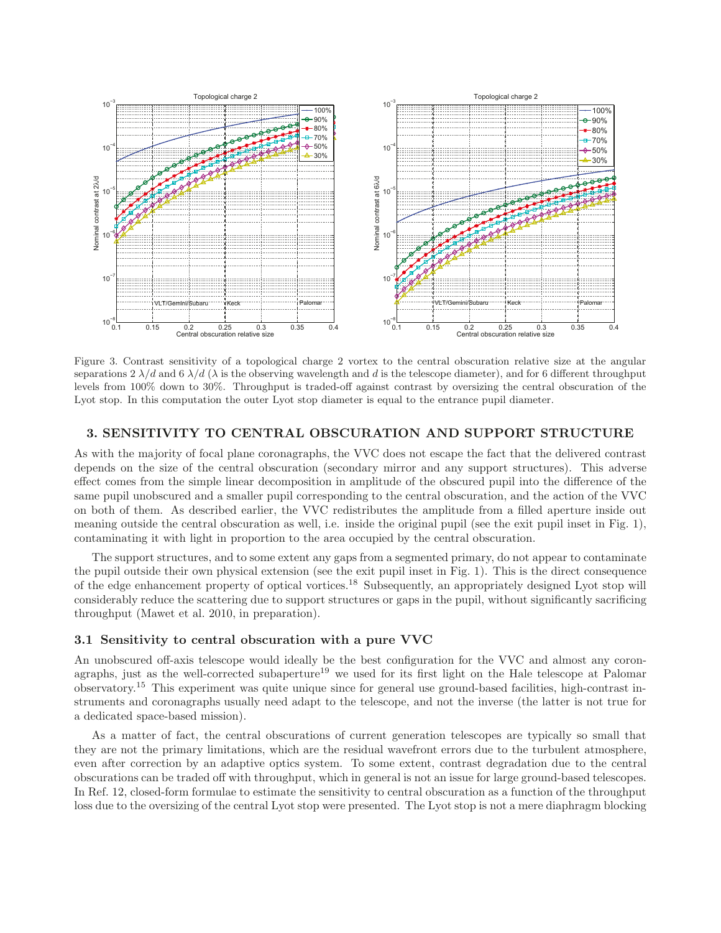

Figure 3. Contrast sensitivity of a topological charge 2 vortex to the central obscuration relative size at the angular separations 2  $\lambda/d$  and 6  $\lambda/d$  ( $\lambda$  is the observing wavelength and d is the telescope diameter), and for 6 different throughput levels from 100% down to 30%. Throughput is traded-off against contrast by oversizing the central obscuration of the Lyot stop. In this computation the outer Lyot stop diameter is equal to the entrance pupil diameter.

#### **3. SENSITIVITY TO CENTRAL OBSCURATION AND SUPPORT STRUCTURE**

As with the majority of focal plane coronagraphs, the VVC does not escape the fact that the delivered contrast depends on the size of the central obscuration (secondary mirror and any support structures). This adverse effect comes from the simple linear decomposition in amplitude of the obscured pupil into the difference of the same pupil unobscured and a smaller pupil corresponding to the central obscuration, and the action of the VVC on both of them. As described earlier, the VVC redistributes the amplitude from a filled aperture inside out meaning outside the central obscuration as well, i.e. inside the original pupil (see the exit pupil inset in Fig. 1), contaminating it with light in proportion to the area occupied by the central obscuration.

The support structures, and to some extent any gaps from a segmented primary, do not appear to contaminate the pupil outside their own physical extension (see the exit pupil inset in Fig. 1). This is the direct consequence of the edge enhancement property of optical vortices.<sup>18</sup> Subsequently, an appropriately designed Lyot stop will considerably reduce the scattering due to support structures or gaps in the pupil, without significantly sacrificing throughput (Mawet et al. 2010, in preparation).

#### **3.1 Sensitivity to central obscuration with a pure VVC**

An unobscured off-axis telescope would ideally be the best configuration for the VVC and almost any coronagraphs, just as the well-corrected subaperture<sup>19</sup> we used for its first light on the Hale telescope at Palomar observatory.<sup>15</sup> This experiment was quite unique since for general use ground-based facilities, high-contrast instruments and coronagraphs usually need adapt to the telescope, and not the inverse (the latter is not true for a dedicated space-based mission).

As a matter of fact, the central obscurations of current generation telescopes are typically so small that they are not the primary limitations, which are the residual wavefront errors due to the turbulent atmosphere, even after correction by an adaptive optics system. To some extent, contrast degradation due to the central obscurations can be traded off with throughput, which in general is not an issue for large ground-based telescopes. In Ref. 12, closed-form formulae to estimate the sensitivity to central obscuration as a function of the throughput loss due to the oversizing of the central Lyot stop were presented. The Lyot stop is not a mere diaphragm blocking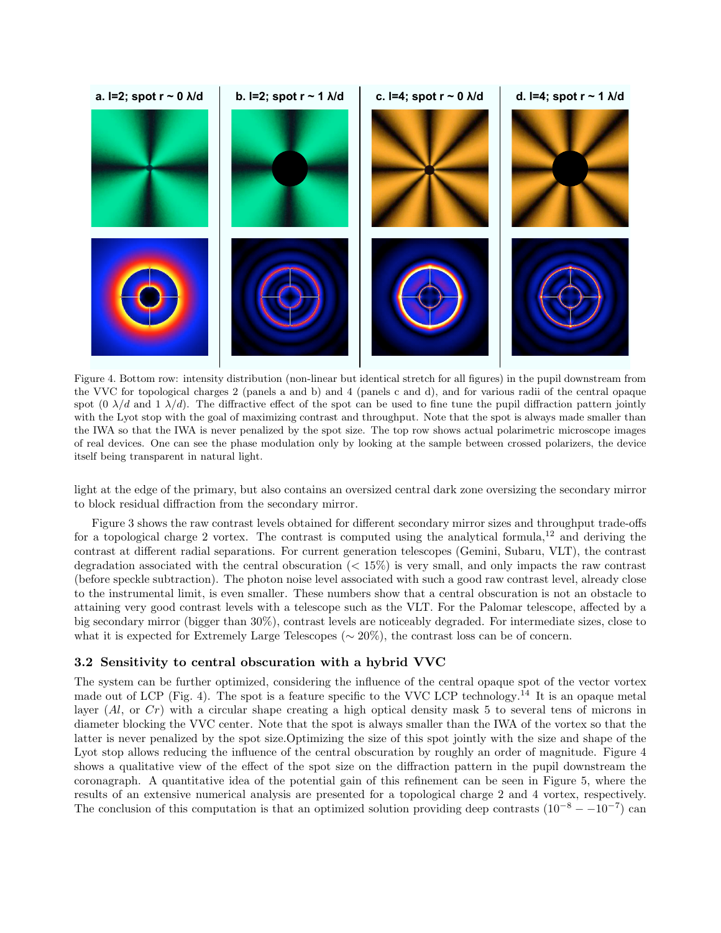

Figure 4. Bottom row: intensity distribution (non-linear but identical stretch for all figures) in the pupil downstream from the VVC for topological charges 2 (panels a and b) and 4 (panels c and d), and for various radii of the central opaque spot (0  $\lambda/d$  and 1  $\lambda/d$ ). The diffractive effect of the spot can be used to fine tune the pupil diffraction pattern jointly with the Lyot stop with the goal of maximizing contrast and throughput. Note that the spot is always made smaller than the IWA so that the IWA is never penalized by the spot size. The top row shows actual polarimetric microscope images of real devices. One can see the phase modulation only by looking at the sample between crossed polarizers, the device itself being transparent in natural light.

light at the edge of the primary, but also contains an oversized central dark zone oversizing the secondary mirror to block residual diffraction from the secondary mirror.

Figure 3 shows the raw contrast levels obtained for different secondary mirror sizes and throughput trade-offs for a topological charge 2 vortex. The contrast is computed using the analytical formula,<sup>12</sup> and deriving the contrast at different radial separations. For current generation telescopes (Gemini, Subaru, VLT), the contrast degradation associated with the central obscuration  $\ll 15\%$  is very small, and only impacts the raw contrast (before speckle subtraction). The photon noise level associated with such a good raw contrast level, already close to the instrumental limit, is even smaller. These numbers show that a central obscuration is not an obstacle to attaining very good contrast levels with a telescope such as the VLT. For the Palomar telescope, affected by a big secondary mirror (bigger than 30%), contrast levels are noticeably degraded. For intermediate sizes, close to what it is expected for Extremely Large Telescopes ( $\sim 20\%$ ), the contrast loss can be of concern.

#### 3.2 Sensitivity to central obscuration with a hybrid VVC

The system can be further optimized, considering the influence of the central opaque spot of the vector vortex made out of LCP (Fig. 4). The spot is a feature specific to the VVC LCP technology.<sup>14</sup> It is an opaque metal layer  $(Al, \text{or } Cr)$  with a circular shape creating a high optical density mask 5 to several tens of microns in diameter blocking the VVC center. Note that the spot is always smaller than the IWA of the vortex so that the latter is never penalized by the spot size.Optimizing the size of this spot jointly with the size and shape of the Lyot stop allows reducing the influence of the central obscuration by roughly an order of magnitude. Figure 4 shows a qualitative view of the effect of the spot size on the diffraction pattern in the pupil downstream the coronagraph. A quantitative idea of the potential gain of this refinement can be seen in Figure 5, where the results of an extensive numerical analysis are presented for a topological charge 2 and 4 vortex, respectively. The conclusion of this computation is that an optimized solution providing deep contrasts  $(10^{-8} - 10^{-7})$  can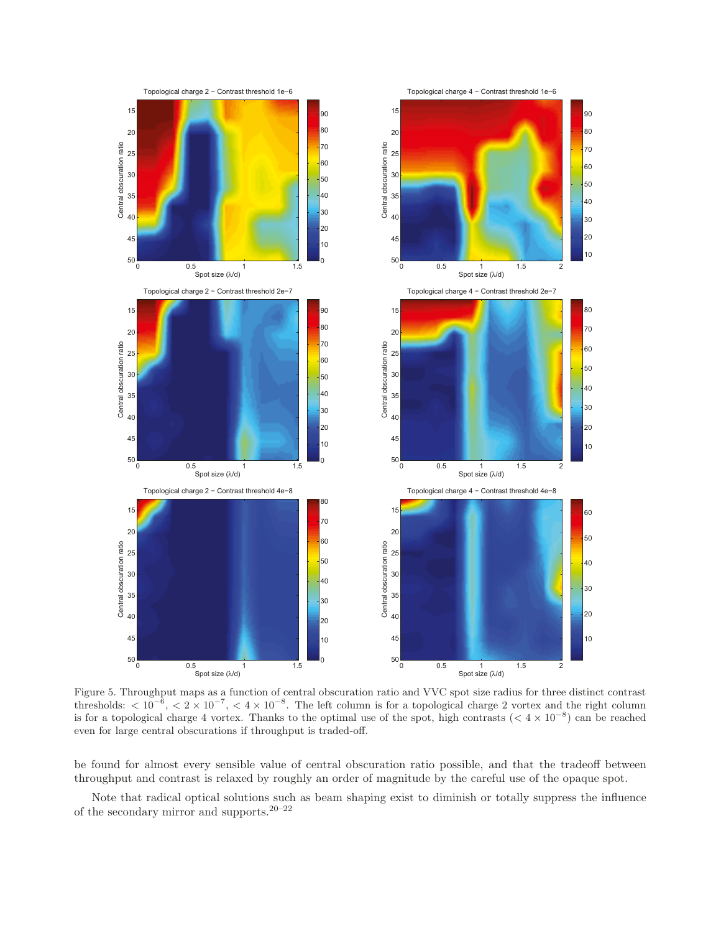

Figure 5. Throughput maps as a function of central obscuration ratio and VVC spot size radius for three distinct contrast thresholds:  $\langle 10^{-6}, \langle 2 \times 10^{-7}, \langle 4 \times 10^{-8} \rangle$ . The left column is for a topological charge 2 vortex and the right column is for a topological charge 4 vortex. Thanks to the optimal use of the spot, high contrasts ( $\lt 4 \times 10^{-8}$ ) can be reached even for large central obscurations if throughput is traded-off.

be found for almost every sensible value of central obscuration ratio possible, and that the tradeoff between throughput and contrast is relaxed by roughly an order of magnitude by the careful use of the opaque spot.

Note that radical optical solutions such as beam shaping exist to diminish or totally suppress the influence of the secondary mirror and supports.  $\real^{20-22}$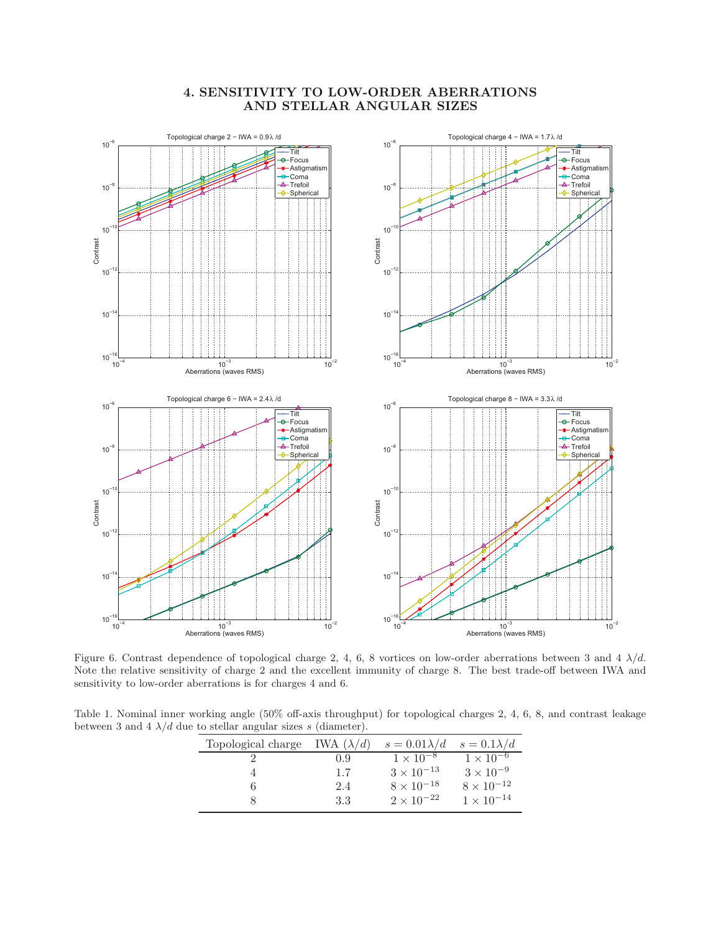# **4. SENSITIVITY TO LOW-ORDER ABERRATIONS AND STELLAR ANGULAR SIZES**



Figure 6. Contrast dependence of topological charge 2, 4, 6, 8 vortices on low-order aberrations between 3 and 4  $\lambda/d$ . Note the relative sensitivity of charge 2 and the excellent immunity of charge 8. The best trade-off between IWA and sensitivity to low-order aberrations is for charges 4 and 6.

Table 1. Nominal inner working angle (50% off-axis throughput) for topological charges 2, 4, 6, 8, and contrast leakage between 3 and 4  $\lambda/d$  due to stellar angular sizes s (diameter).

| Topological charge | IWA $(\lambda/d)$ | $s = 0.01\lambda/d$ | $s = 0.1\lambda/d$            |
|--------------------|-------------------|---------------------|-------------------------------|
|                    | 0.9               | $1 \times 10^{-8}$  | $1 \times \overline{10^{-6}}$ |
|                    | 1.7               | $3 \times 10^{-13}$ | $3 \times 10^{-9}$            |
|                    | 2.4               | $8 \times 10^{-18}$ | $8 \times 10^{-12}$           |
|                    | 3.3               | $2 \times 10^{-22}$ | $1 \times 10^{-14}$           |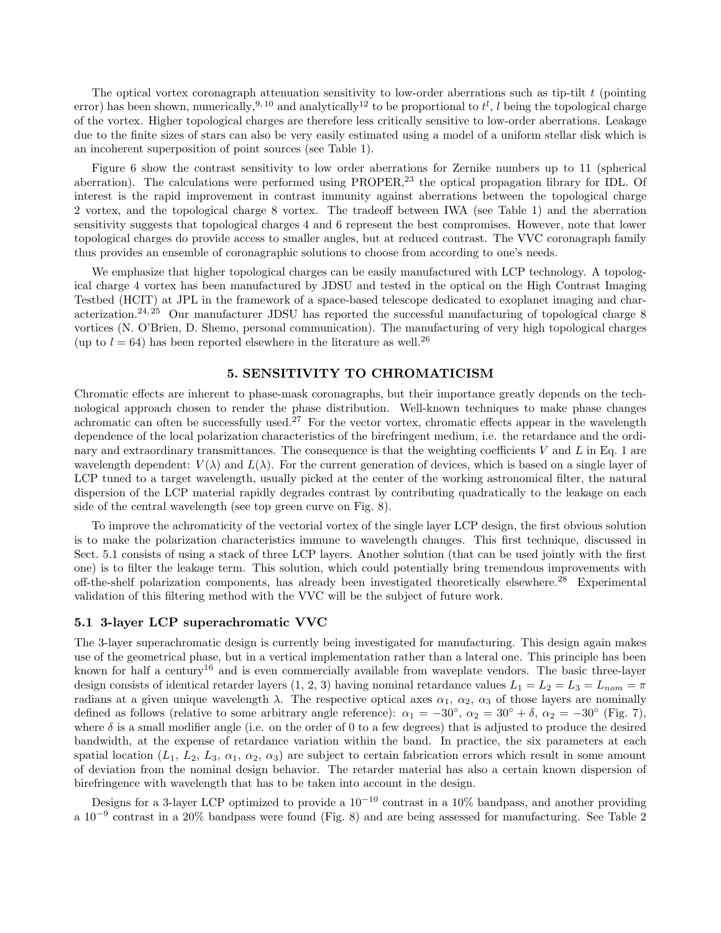The optical vortex coronagraph attenuation sensitivity to low-order aberrations such as tip-tilt  $t$  (pointing error) has been shown, numerically,<sup>9, 10</sup> and analytically<sup>12</sup> to be proportional to  $t^l$ , l being the topological charge of the vortex. Higher topological charges are therefore less critically sensitive to low-order aberrations. Leakage due to the finite sizes of stars can also be very easily estimated using a model of a uniform stellar disk which is an incoherent superposition of point sources (see Table 1).

Figure 6 show the contrast sensitivity to low order aberrations for Zernike numbers up to 11 (spherical aberration). The calculations were performed using PROPER,<sup>23</sup> the optical propagation library for IDL. Of interest is the rapid improvement in contrast immunity against aberrations between the topological charge 2 vortex, and the topological charge 8 vortex. The tradeoff between IWA (see Table 1) and the aberration sensitivity suggests that topological charges 4 and 6 represent the best compromises. However, note that lower topological charges do provide access to smaller angles, but at reduced contrast. The VVC coronagraph family thus provides an ensemble of coronagraphic solutions to choose from according to one's needs.

We emphasize that higher topological charges can be easily manufactured with LCP technology. A topological charge 4 vortex has been manufactured by JDSU and tested in the optical on the High Contrast Imaging Testbed (HCIT) at JPL in the framework of a space-based telescope dedicated to exoplanet imaging and characterization.<sup>24, 25</sup> Our manufacturer JDSU has reported the successful manufacturing of topological charge  $8$ vortices (N. O'Brien, D. Shemo, personal communication). The manufacturing of very high topological charges (up to  $l = 64$ ) has been reported elsewhere in the literature as well.<sup>26</sup>

#### 5. SENSITIVITY TO CHROMATICISM

Chromatic effects are inherent to phase-mask coronagraphs, but their importance greatly depends on the technological approach chosen to render the phase distribution. Well-known techniques to make phase changes achromatic can often be successfully used.<sup>27</sup> For the vector vortex, chromatic effects appear in the wavelength dependence of the local polarization characteristics of the birefringent medium, i.e. the retardance and the ordinary and extraordinary transmittances. The consequence is that the weighting coefficients  $V$  and  $L$  in Eq. 1 are wavelength dependent:  $V(\lambda)$  and  $L(\lambda)$ . For the current generation of devices, which is based on a single layer of LCP tuned to a target wavelength, usually picked at the center of the working astronomical filter, the natural dispersion of the LCP material rapidly degrades contrast by contributing quadratically to the leakage on each side of the central wavelength (see top green curve on Fig. 8).

To improve the achromaticity of the vectorial vortex of the single layer LCP design, the first obvious solution is to make the polarization characteristics immune to wavelength changes. This first technique, discussed in Sect. 5.1 consists of using a stack of three LCP layers. Another solution (that can be used jointly with the first one) is to filter the leakage term. This solution, which could potentially bring tremendous improvements with off-the-shelf polarization components, has already been investigated theoretically elsewhere.<sup>28</sup> Experimental validation of this filtering method with the VVC will be the subject of future work.

#### 5.1 3-layer LCP superachromatic VVC

The 3-layer superachromatic design is currently being investigated for manufacturing. This design again makes use of the geometrical phase, but in a vertical implementation rather than a lateral one. This principle has been known for half a century<sup>16</sup> and is even commercially available from waveplate vendors. The basic three-layer design consists of identical retarder layers  $(1, 2, 3)$  having nominal retardance values  $L_1 = L_2 = L_3 = L_{nom} = \pi$ radians at a given unique wavelength  $\lambda$ . The respective optical axes  $\alpha_1$ ,  $\alpha_2$ ,  $\alpha_3$  of those layers are nominally defined as follows (relative to some arbitrary angle reference):  $\alpha_1 = -30^\circ$ ,  $\alpha_2 = 30^\circ + \delta$ ,  $\alpha_2 = -30^\circ$  (Fig. 7), where  $\delta$  is a small modifier angle (i.e. on the order of 0 to a few degrees) that is adjusted to produce the desired bandwidth, at the expense of retardance variation within the band. In practice, the six parameters at each spatial location  $(L_1, L_2, L_3, \alpha_1, \alpha_2, \alpha_3)$  are subject to certain fabrication errors which result in some amount of deviation from the nominal design behavior. The retarder material has also a certain known dispersion of birefringence with wavelength that has to be taken into account in the design.

Designs for a 3-layer LCP optimized to provide a  $10^{-10}$  contrast in a 10% bandpass, and another providing a 10<sup>−</sup><sup>9</sup> contrast in a 20% bandpass were found (Fig. 8) and are being assessed for manufacturing. See Table 2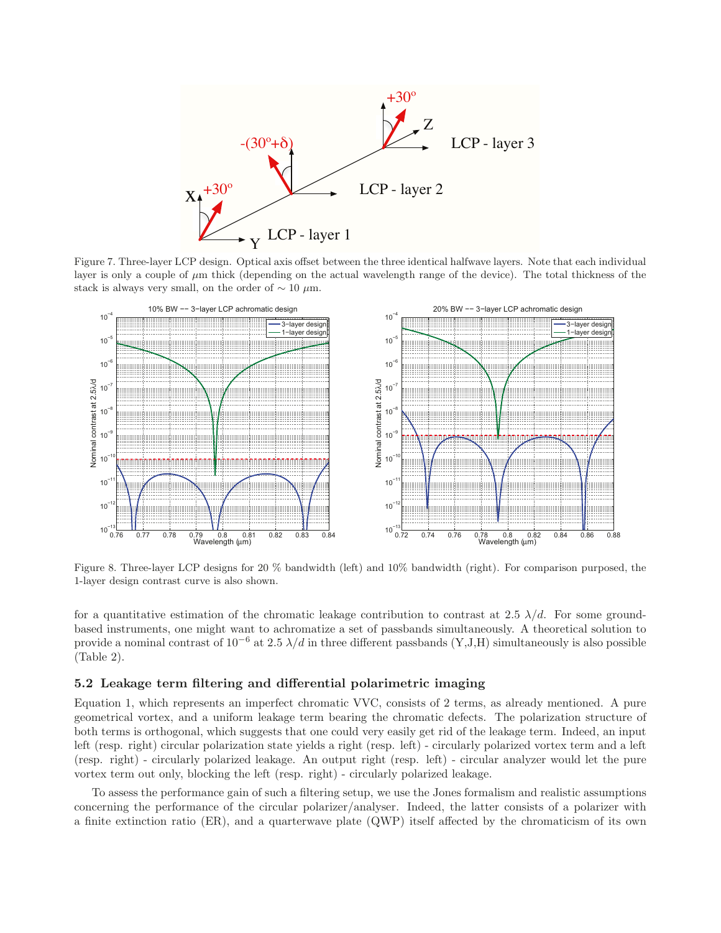

Figure 7. Three-layer LCP design. Optical axis offset between the three identical halfwave layers. Note that each individual layer is only a couple of μm thick (depending on the actual wavelength range of the device). The total thickness of the stack is always very small, on the order of  $\sim 10 \ \mu \text{m}$ .



Figure 8. Three-layer LCP designs for 20 % bandwidth (left) and 10% bandwidth (right). For comparison purposed, the 1-layer design contrast curve is also shown.

for a quantitative estimation of the chromatic leakage contribution to contrast at 2.5  $\lambda/d$ . For some groundbased instruments, one might want to achromatize a set of passbands simultaneously. A theoretical solution to provide a nominal contrast of  $10^{-6}$  at 2.5  $\lambda/d$  in three different passbands (Y,J,H) simultaneously is also possible (Table 2).

# **5.2 Leakage term filtering and differential polarimetric imaging**

Equation 1, which represents an imperfect chromatic VVC, consists of 2 terms, as already mentioned. A pure geometrical vortex, and a uniform leakage term bearing the chromatic defects. The polarization structure of both terms is orthogonal, which suggests that one could very easily get rid of the leakage term. Indeed, an input left (resp. right) circular polarization state yields a right (resp. left) - circularly polarized vortex term and a left (resp. right) - circularly polarized leakage. An output right (resp. left) - circular analyzer would let the pure vortex term out only, blocking the left (resp. right) - circularly polarized leakage.

To assess the performance gain of such a filtering setup, we use the Jones formalism and realistic assumptions concerning the performance of the circular polarizer/analyser. Indeed, the latter consists of a polarizer with a finite extinction ratio (ER), and a quarterwave plate (QWP) itself affected by the chromaticism of its own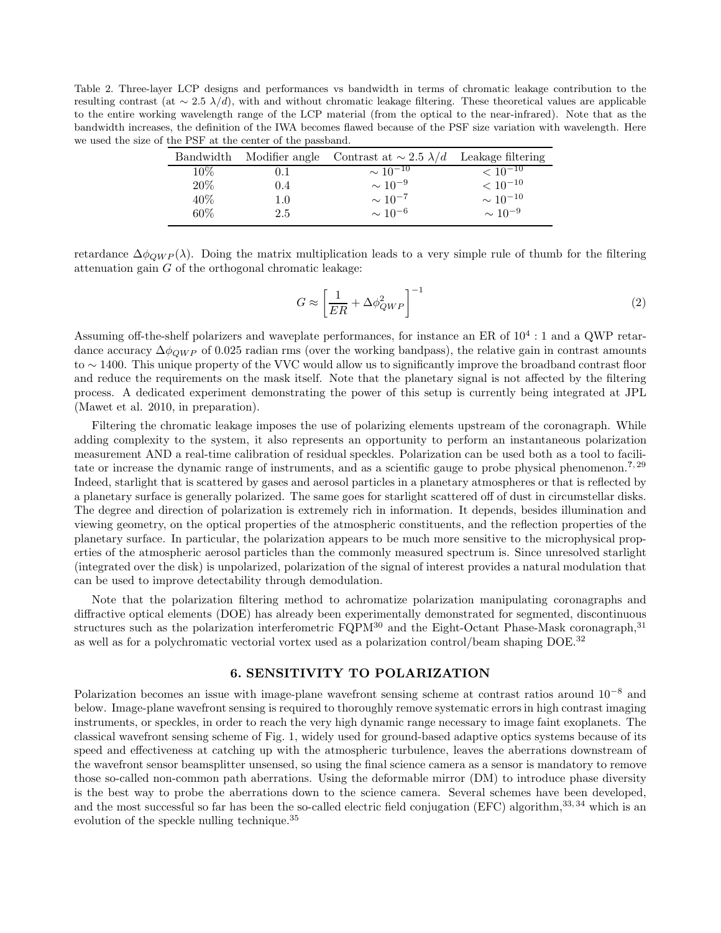Table 2. Three-layer LCP designs and performances vs bandwidth in terms of chromatic leakage contribution to the resulting contrast (at  $\sim 2.5$   $\lambda/d$ ), with and without chromatic leakage filtering. These theoretical values are applicable to the entire working wavelength range of the LCP material (from the optical to the near-infrared). Note that as the bandwidth increases, the definition of the IWA becomes flawed because of the PSF size variation with wavelength. Here we used the size of the PSF at the center of the passband.

| Bandwidth |         | Modifier angle Contrast at $\sim 2.5 \lambda/d$ | Leakage filtering |
|-----------|---------|-------------------------------------------------|-------------------|
| $10\%$    | 0.1     | $\sim 10^{-10}$                                 | $< 10^{-10}$      |
| $20\%$    | 0.4     | $\sim 10^{-9}$                                  | $< 10^{-10}$      |
| 40\%      | $1.0\,$ | $\sim 10^{-7}$                                  | $\sim 10^{-10}$   |
| 60%       | 2.5     | $\sim 10^{-6}$                                  | $\sim 10^{-9}$    |

retardance  $\Delta\phi_{OWP}(\lambda)$ . Doing the matrix multiplication leads to a very simple rule of thumb for the filtering attenuation gain  $G$  of the orthogonal chromatic leakage:

$$
G \approx \left[\frac{1}{ER} + \Delta\phi_{QWP}^2\right]^{-1} \tag{2}
$$

Assuming off-the-shelf polarizers and waveplate performances, for instance an ER of  $10^4$ : 1 and a QWP retardance accuracy  $\Delta\phi_{OWP}$  of 0.025 radian rms (over the working bandpass), the relative gain in contrast amounts to ∼ 1400. This unique property of the VVC would allow us to significantly improve the broadband contrast floor and reduce the requirements on the mask itself. Note that the planetary signal is not affected by the filtering process. A dedicated experiment demonstrating the power of this setup is currently being integrated at JPL (Mawet et al. 2010, in preparation).

Filtering the chromatic leakage imposes the use of polarizing elements upstream of the coronagraph. While adding complexity to the system, it also represents an opportunity to perform an instantaneous polarization measurement AND a real-time calibration of residual speckles. Polarization can be used both as a tool to facilitate or increase the dynamic range of instruments, and as a scientific gauge to probe physical phenomenon.<sup>7, 29</sup> Indeed, starlight that is scattered by gases and aerosol particles in a planetary atmospheres or that is reflected by a planetary surface is generally polarized. The same goes for starlight scattered off of dust in circumstellar disks. The degree and direction of polarization is extremely rich in information. It depends, besides illumination and viewing geometry, on the optical properties of the atmospheric constituents, and the reflection properties of the planetary surface. In particular, the polarization appears to be much more sensitive to the microphysical properties of the atmospheric aerosol particles than the commonly measured spectrum is. Since unresolved starlight (integrated over the disk) is unpolarized, polarization of the signal of interest provides a natural modulation that can be used to improve detectability through demodulation.

Note that the polarization filtering method to achromatize polarization manipulating coronagraphs and diffractive optical elements (DOE) has already been experimentally demonstrated for segmented, discontinuous structures such as the polarization interferometric  $FQPM^{30}$  and the Eight-Octant Phase-Mask coronagraph,  $31$ as well as for a polychromatic vectorial vortex used as a polarization control/beam shaping DOE.<sup>32</sup>

# 6. SENSITIVITY TO POLARIZATION

Polarization becomes an issue with image-plane wavefront sensing scheme at contrast ratios around 10<sup>−</sup><sup>8</sup> and below. Image-plane wavefront sensing is required to thoroughly remove systematic errors in high contrast imaging instruments, or speckles, in order to reach the very high dynamic range necessary to image faint exoplanets. The classical wavefront sensing scheme of Fig. 1, widely used for ground-based adaptive optics systems because of its speed and effectiveness at catching up with the atmospheric turbulence, leaves the aberrations downstream of the wavefront sensor beamsplitter unsensed, so using the final science camera as a sensor is mandatory to remove those so-called non-common path aberrations. Using the deformable mirror (DM) to introduce phase diversity is the best way to probe the aberrations down to the science camera. Several schemes have been developed, and the most successful so far has been the so-called electric field conjugation (EFC) algorithm, $33,34$  which is an evolution of the speckle nulling technique.<sup>35</sup>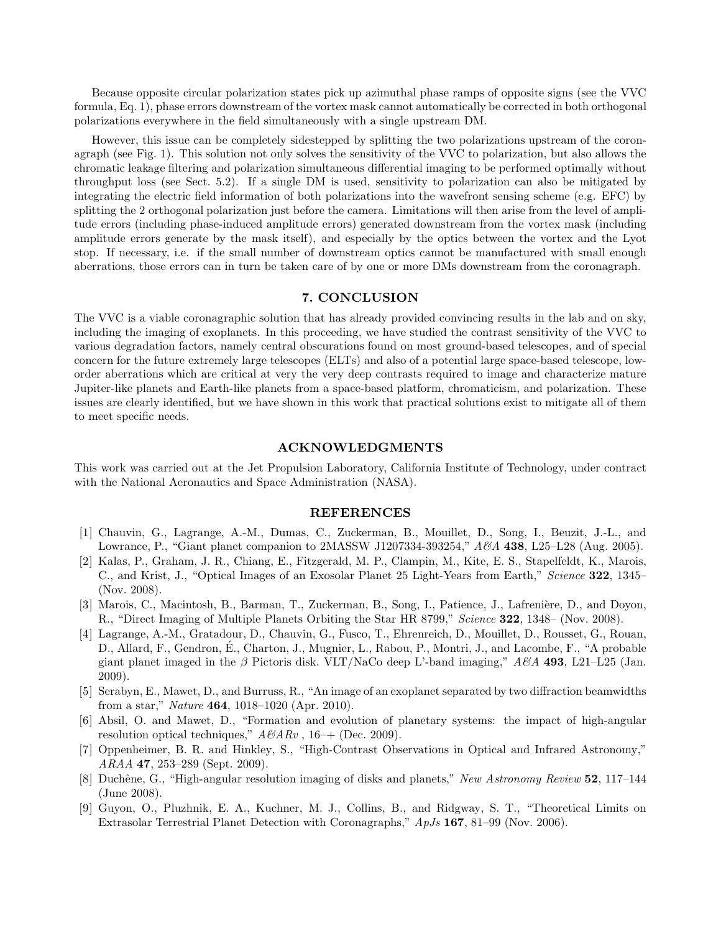Because opposite circular polarization states pick up azimuthal phase ramps of opposite signs (see the VVC formula, Eq. 1), phase errors downstream of the vortex mask cannot automatically be corrected in both orthogonal polarizations everywhere in the field simultaneously with a single upstream DM.

However, this issue can be completely sidestepped by splitting the two polarizations upstream of the coronagraph (see Fig. 1). This solution not only solves the sensitivity of the VVC to polarization, but also allows the chromatic leakage filtering and polarization simultaneous differential imaging to be performed optimally without throughput loss (see Sect. 5.2). If a single DM is used, sensitivity to polarization can also be mitigated by integrating the electric field information of both polarizations into the wavefront sensing scheme (e.g. EFC) by splitting the 2 orthogonal polarization just before the camera. Limitations will then arise from the level of amplitude errors (including phase-induced amplitude errors) generated downstream from the vortex mask (including amplitude errors generate by the mask itself), and especially by the optics between the vortex and the Lyot stop. If necessary, i.e. if the small number of downstream optics cannot be manufactured with small enough aberrations, those errors can in turn be taken care of by one or more DMs downstream from the coronagraph.

# 7. CONCLUSION

The VVC is a viable coronagraphic solution that has already provided convincing results in the lab and on sky, including the imaging of exoplanets. In this proceeding, we have studied the contrast sensitivity of the VVC to various degradation factors, namely central obscurations found on most ground-based telescopes, and of special concern for the future extremely large telescopes (ELTs) and also of a potential large space-based telescope, loworder aberrations which are critical at very the very deep contrasts required to image and characterize mature Jupiter-like planets and Earth-like planets from a space-based platform, chromaticism, and polarization. These issues are clearly identified, but we have shown in this work that practical solutions exist to mitigate all of them to meet specific needs.

#### ACKNOWLEDGMENTS

This work was carried out at the Jet Propulsion Laboratory, California Institute of Technology, under contract with the National Aeronautics and Space Administration (NASA).

#### REFERENCES

- [1] Chauvin, G., Lagrange, A.-M., Dumas, C., Zuckerman, B., Mouillet, D., Song, I., Beuzit, J.-L., and Lowrance, P., "Giant planet companion to 2MASSW J1207334-393254," A&A 438, L25–L28 (Aug. 2005).
- [2] Kalas, P., Graham, J. R., Chiang, E., Fitzgerald, M. P., Clampin, M., Kite, E. S., Stapelfeldt, K., Marois, C., and Krist, J., "Optical Images of an Exosolar Planet 25 Light-Years from Earth," Science 322, 1345– (Nov. 2008).
- [3] Marois, C., Macintosh, B., Barman, T., Zuckerman, B., Song, I., Patience, J., Lafrenière, D., and Doyon, R., "Direct Imaging of Multiple Planets Orbiting the Star HR 8799," Science 322, 1348– (Nov. 2008).
- [4] Lagrange, A.-M., Gratadour, D., Chauvin, G., Fusco, T., Ehrenreich, D., Mouillet, D., Rousset, G., Rouan, D., Allard, F., Gendron, E., Charton, J., Mugnier, L., Rabou, P., Montri, J., and Lacombe, F., "A probable ´ giant planet imaged in the β Pictoris disk. VLT/NaCo deep L'-band imaging,"  $A\mathscr{B}A$  493, L21–L25 (Jan. 2009).
- [5] Serabyn, E., Mawet, D., and Burruss, R., "An image of an exoplanet separated by two diffraction beamwidths from a star," Nature 464, 1018–1020 (Apr. 2010).
- [6] Absil, O. and Mawet, D., "Formation and evolution of planetary systems: the impact of high-angular resolution optical techniques,"  $A\&ARv$ , 16–+ (Dec. 2009).
- [7] Oppenheimer, B. R. and Hinkley, S., "High-Contrast Observations in Optical and Infrared Astronomy," ARAA 47, 253–289 (Sept. 2009).
- [8] Duchêne, G., "High-angular resolution imaging of disks and planets," New Astronomy Review 52, 117–144 (June 2008).
- [9] Guyon, O., Pluzhnik, E. A., Kuchner, M. J., Collins, B., and Ridgway, S. T., "Theoretical Limits on Extrasolar Terrestrial Planet Detection with Coronagraphs," ApJs 167, 81–99 (Nov. 2006).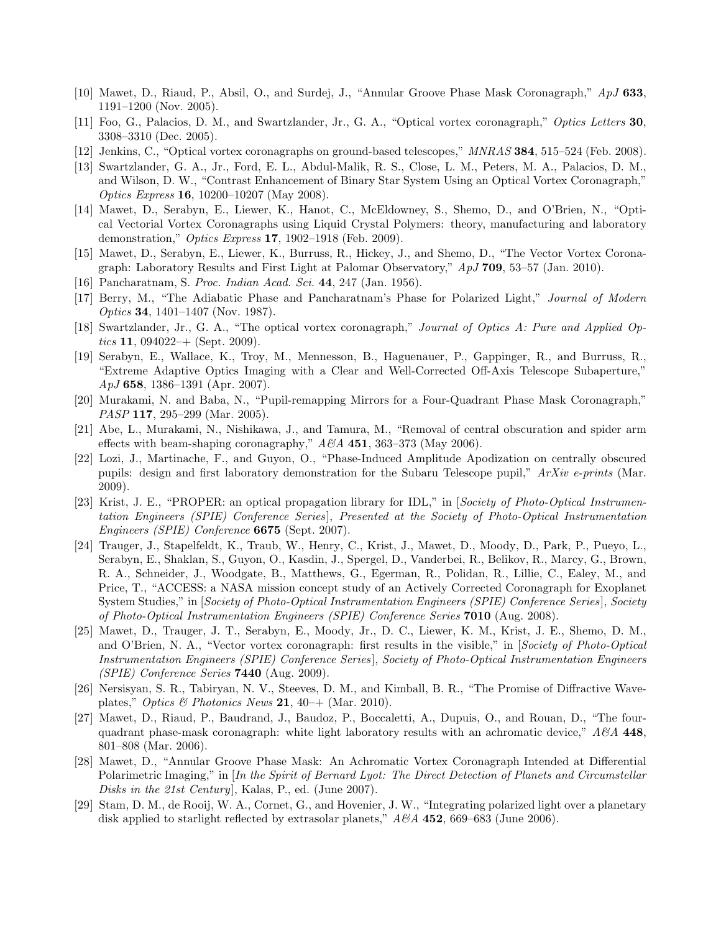- [10] Mawet, D., Riaud, P., Absil, O., and Surdej, J., "Annular Groove Phase Mask Coronagraph," ApJ 633, 1191–1200 (Nov. 2005).
- [11] Foo, G., Palacios, D. M., and Swartzlander, Jr., G. A., "Optical vortex coronagraph," Optics Letters 30, 3308–3310 (Dec. 2005).
- [12] Jenkins, C., "Optical vortex coronagraphs on ground-based telescopes," MNRAS 384, 515–524 (Feb. 2008).
- [13] Swartzlander, G. A., Jr., Ford, E. L., Abdul-Malik, R. S., Close, L. M., Peters, M. A., Palacios, D. M., and Wilson, D. W., "Contrast Enhancement of Binary Star System Using an Optical Vortex Coronagraph," Optics Express 16, 10200–10207 (May 2008).
- [14] Mawet, D., Serabyn, E., Liewer, K., Hanot, C., McEldowney, S., Shemo, D., and O'Brien, N., "Optical Vectorial Vortex Coronagraphs using Liquid Crystal Polymers: theory, manufacturing and laboratory demonstration," Optics Express 17, 1902–1918 (Feb. 2009).
- [15] Mawet, D., Serabyn, E., Liewer, K., Burruss, R., Hickey, J., and Shemo, D., "The Vector Vortex Coronagraph: Laboratory Results and First Light at Palomar Observatory," ApJ 709, 53–57 (Jan. 2010).
- [16] Pancharatnam, S. Proc. Indian Acad. Sci. 44, 247 (Jan. 1956).
- [17] Berry, M., "The Adiabatic Phase and Pancharatnam's Phase for Polarized Light," Journal of Modern Optics 34, 1401–1407 (Nov. 1987).
- [18] Swartzlander, Jr., G. A., "The optical vortex coronagraph," Journal of Optics A: Pure and Applied Optics 11, 094022–+ (Sept. 2009).
- [19] Serabyn, E., Wallace, K., Troy, M., Mennesson, B., Haguenauer, P., Gappinger, R., and Burruss, R., "Extreme Adaptive Optics Imaging with a Clear and Well-Corrected Off-Axis Telescope Subaperture,"  $ApJ$  658, 1386–1391 (Apr. 2007).
- [20] Murakami, N. and Baba, N., "Pupil-remapping Mirrors for a Four-Quadrant Phase Mask Coronagraph," PASP 117, 295-299 (Mar. 2005).
- [21] Abe, L., Murakami, N., Nishikawa, J., and Tamura, M., "Removal of central obscuration and spider arm effects with beam-shaping coronagraphy,"  $A\mathscr{B}A$  451, 363–373 (May 2006).
- [22] Lozi, J., Martinache, F., and Guyon, O., "Phase-Induced Amplitude Apodization on centrally obscured pupils: design and first laboratory demonstration for the Subaru Telescope pupil," ArXiv e-prints (Mar. 2009).
- [23] Krist, J. E., "PROPER: an optical propagation library for IDL," in [Society of Photo-Optical Instrumentation Engineers (SPIE) Conference Series], Presented at the Society of Photo-Optical Instrumentation Engineers (SPIE) Conference 6675 (Sept. 2007).
- [24] Trauger, J., Stapelfeldt, K., Traub, W., Henry, C., Krist, J., Mawet, D., Moody, D., Park, P., Pueyo, L., Serabyn, E., Shaklan, S., Guyon, O., Kasdin, J., Spergel, D., Vanderbei, R., Belikov, R., Marcy, G., Brown, R. A., Schneider, J., Woodgate, B., Matthews, G., Egerman, R., Polidan, R., Lillie, C., Ealey, M., and Price, T., "ACCESS: a NASA mission concept study of an Actively Corrected Coronagraph for Exoplanet System Studies," in *[Society of Photo-Optical Instrumentation Engineers (SPIE) Conference Series*], Society of Photo-Optical Instrumentation Engineers (SPIE) Conference Series 7010 (Aug. 2008).
- [25] Mawet, D., Trauger, J. T., Serabyn, E., Moody, Jr., D. C., Liewer, K. M., Krist, J. E., Shemo, D. M., and O'Brien, N. A., "Vector vortex coronagraph: first results in the visible," in *Society of Photo-Optical* Instrumentation Engineers (SPIE) Conference Series], Society of Photo-Optical Instrumentation Engineers  $(SPIE)$  Conference Series **7440** (Aug. 2009).
- [26] Nersisyan, S. R., Tabiryan, N. V., Steeves, D. M., and Kimball, B. R., "The Promise of Diffractive Waveplates," Optics & Photonics News 21, 40–+ (Mar. 2010).
- [27] Mawet, D., Riaud, P., Baudrand, J., Baudoz, P., Boccaletti, A., Dupuis, O., and Rouan, D., "The fourquadrant phase-mask coronagraph: white light laboratory results with an achromatic device,"  $A\&A$  448, 801–808 (Mar. 2006).
- [28] Mawet, D., "Annular Groove Phase Mask: An Achromatic Vortex Coronagraph Intended at Differential Polarimetric Imaging," in [In the Spirit of Bernard Lyot: The Direct Detection of Planets and Circumstellar Disks in the 21st Century], Kalas, P., ed. (June 2007).
- [29] Stam, D. M., de Rooij, W. A., Cornet, G., and Hovenier, J. W., "Integrating polarized light over a planetary disk applied to starlight reflected by extrasolar planets,"  $A\mathscr{B}A$  452, 669–683 (June 2006).